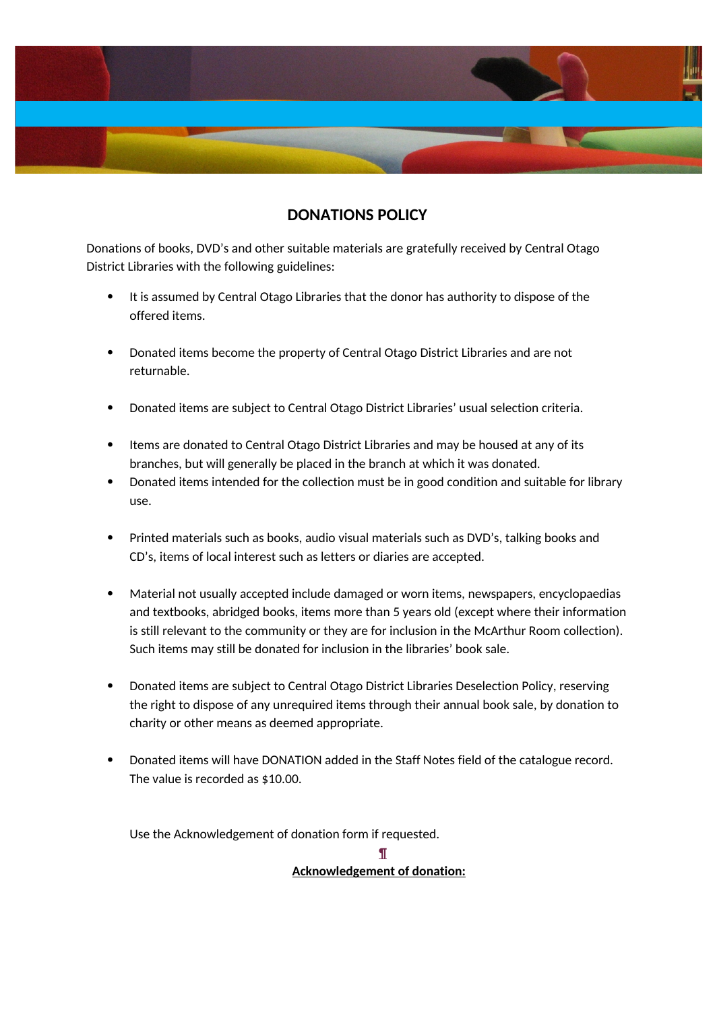

## **DONATIONS POLICY**

Donations of books, DVD's and other suitable materials are gratefully received by Central Otago District Libraries with the following guidelines:

- It is assumed by Central Otago Libraries that the donor has authority to dispose of the offered items.
- Donated items become the property of Central Otago District Libraries and are not returnable.
- Donated items are subject to Central Otago District Libraries' usual selection criteria.
- Items are donated to Central Otago District Libraries and may be housed at any of its branches, but will generally be placed in the branch at which it was donated.
- Donated items intended for the collection must be in good condition and suitable for library use.
- Printed materials such as books, audio visual materials such as DVD's, talking books and CD's, items of local interest such as letters or diaries are accepted.
- Material not usually accepted include damaged or worn items, newspapers, encyclopaedias and textbooks, abridged books, items more than 5 years old (except where their information is still relevant to the community or they are for inclusion in the McArthur Room collection). Such items may still be donated for inclusion in the libraries' book sale.
- Donated items are subject to Central Otago District Libraries Deselection Policy, reserving the right to dispose of any unrequired items through their annual book sale, by donation to charity or other means as deemed appropriate.
- Donated items will have DONATION added in the Staff Notes field of the catalogue record. The value is recorded as \$10.00.

Use the Acknowledgement of donation form if requested.

**¶ Acknowledgement of donation:**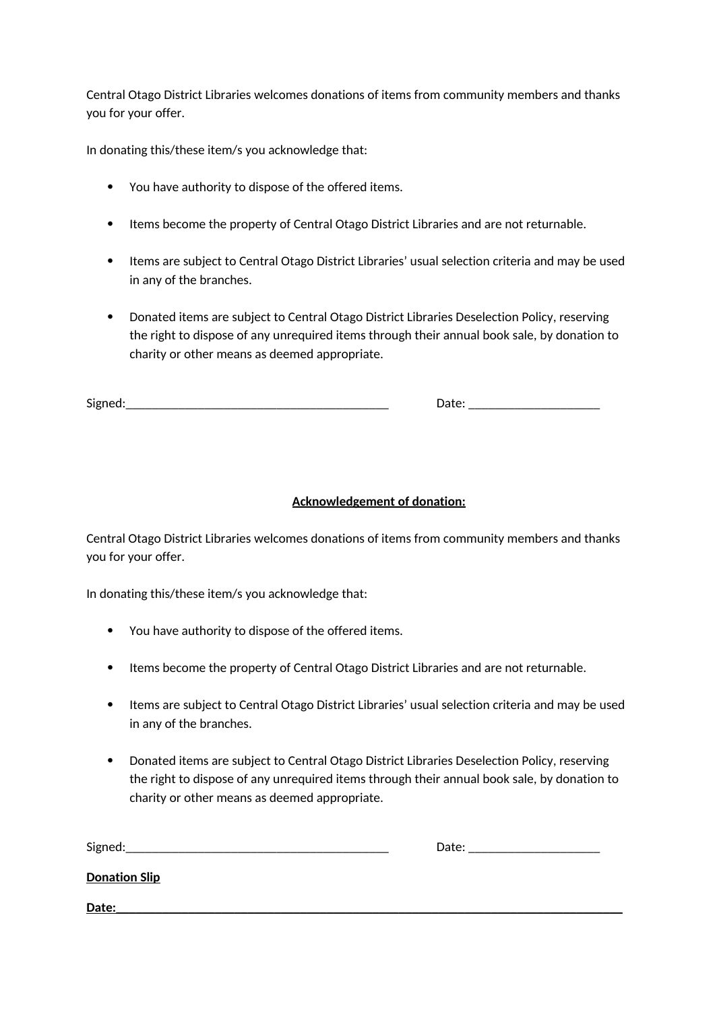Central Otago District Libraries welcomes donations of items from community members and thanks you for your offer.

In donating this/these item/s you acknowledge that:

- You have authority to dispose of the offered items.
- Items become the property of Central Otago District Libraries and are not returnable.
- Items are subject to Central Otago District Libraries' usual selection criteria and may be used in any of the branches.
- Donated items are subject to Central Otago District Libraries Deselection Policy, reserving the right to dispose of any unrequired items through their annual book sale, by donation to charity or other means as deemed appropriate.

Signed:\_\_\_\_\_\_\_\_\_\_\_\_\_\_\_\_\_\_\_\_\_\_\_\_\_\_\_\_\_\_\_\_\_\_\_\_\_\_\_\_ Date: \_\_\_\_\_\_\_\_\_\_\_\_\_\_\_\_\_\_\_\_

## **Acknowledgement of donation:**

Central Otago District Libraries welcomes donations of items from community members and thanks you for your offer.

In donating this/these item/s you acknowledge that:

- You have authority to dispose of the offered items.
- Items become the property of Central Otago District Libraries and are not returnable.
- Items are subject to Central Otago District Libraries' usual selection criteria and may be used in any of the branches.
- Donated items are subject to Central Otago District Libraries Deselection Policy, reserving the right to dispose of any unrequired items through their annual book sale, by donation to charity or other means as deemed appropriate.

Signed:\_\_\_\_\_\_\_\_\_\_\_\_\_\_\_\_\_\_\_\_\_\_\_\_\_\_\_\_\_\_\_\_\_\_\_\_\_\_\_\_ Date: \_\_\_\_\_\_\_\_\_\_\_\_\_\_\_\_\_\_\_\_

**Donation Slip**

**Date:\_\_\_\_\_\_\_\_\_\_\_\_\_\_\_\_\_\_\_\_\_\_\_\_\_\_\_\_\_\_\_\_\_\_\_\_\_\_\_\_\_\_\_\_\_\_\_\_\_\_\_\_\_\_\_\_\_\_\_\_\_\_\_\_\_\_\_\_\_\_\_\_\_\_\_\_\_**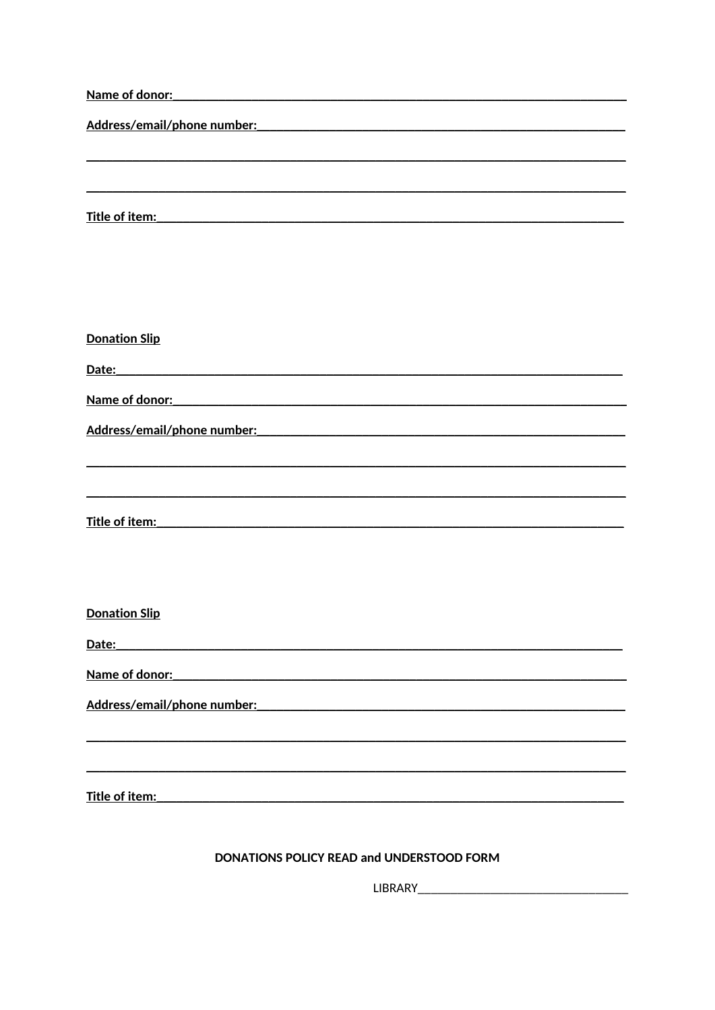| Name of donor: Name of donor:                                                                                                           |
|-----------------------------------------------------------------------------------------------------------------------------------------|
|                                                                                                                                         |
|                                                                                                                                         |
|                                                                                                                                         |
|                                                                                                                                         |
| Title of item:<br><u> 1989 - Johann Harry Barn, mars ar breist ar yn y breisinn y breisinn a breisinn a breisinn a breisinn a breis</u> |
|                                                                                                                                         |
|                                                                                                                                         |
|                                                                                                                                         |
| <b>Donation Slip</b>                                                                                                                    |
| Date:<br><u> 1989 - Jan James James, martin amerikan basar dan berasal dari berasal dalam basar dalam basar dalam basar da</u>          |
| Name of donor: Name of donor:                                                                                                           |
|                                                                                                                                         |
|                                                                                                                                         |
|                                                                                                                                         |
|                                                                                                                                         |
|                                                                                                                                         |
|                                                                                                                                         |
|                                                                                                                                         |
| <b>Donation Slip</b>                                                                                                                    |
| Date:<br><u> 1980 - Jan Barnett, mars eta bat erroman erroman erroman erroman erroman erroman erroman erroman erroman err</u>           |
| Name of donor:                                                                                                                          |
|                                                                                                                                         |
| Address/email/phone number: National Address/Amazone                                                                                    |
|                                                                                                                                         |
|                                                                                                                                         |
| Title of item:                                                                                                                          |
|                                                                                                                                         |

## DONATIONS POLICY READ and UNDERSTOOD FORM